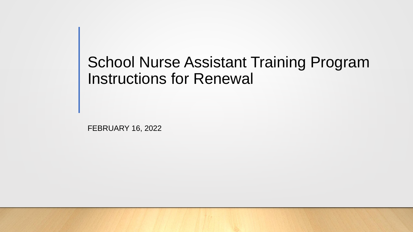### School Nurse Assistant Training Program Instructions for Renewal

FEBRUARY 16, 2022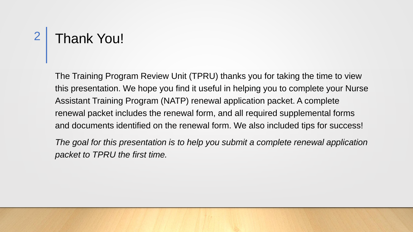### Thank You! 2

The Training Program Review Unit (TPRU) thanks you for taking the time to view this presentation. We hope you find it useful in helping you to complete your Nurse Assistant Training Program (NATP) renewal application packet. A complete renewal packet includes the renewal form, and all required supplemental forms and documents identified on the renewal form. We also included tips for success!

*The goal for this presentation is to help you submit a complete renewal application packet to TPRU the first time.*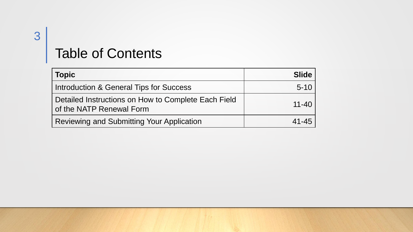### Table of Contents

| <b>Topic</b>                                                                    | <b>Slide</b> |
|---------------------------------------------------------------------------------|--------------|
| Introduction & General Tips for Success                                         | $5 - 10$     |
| Detailed Instructions on How to Complete Each Field<br>of the NATP Renewal Form | $11 - 40$    |
| <b>Reviewing and Submitting Your Application</b>                                | 41-45        |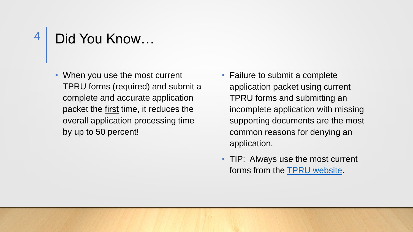## Did You Know…

- When you use the most current TPRU forms (required) and submit a complete and accurate application packet the first time, it reduces the overall application processing time by up to 50 percent!
- Failure to submit a complete application packet using current TPRU forms and submitting an incomplete application with missing supporting documents are the most common reasons for denying an application.
- TIP: Always use the most current forms from the **TPRU** website.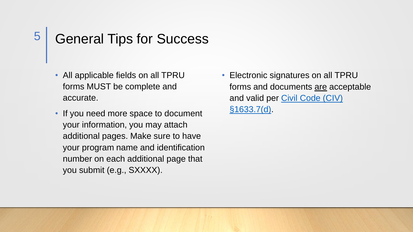### General Tips for Success

- All applicable fields on all TPRU forms MUST be complete and accurate.
- If you need more space to document your information, you may attach additional pages. Make sure to have your program name and identification number on each additional page that you submit (e.g., SXXXX).
- Electronic signatures on all TPRU forms and documents are acceptable [and valid per Civil Code \(CIV\)](https://leginfo.legislature.ca.gov/faces/codes_displaySection.xhtml?lawCode=CIV§ionNum=1633.7.) §1633.7(d).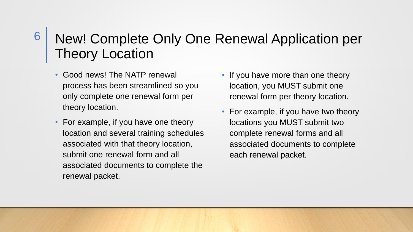### New! Complete Only One Renewal Application per Theory Location

• Good news! The NATP renewal process has been streamlined so you only complete one renewal form per theory location.

6

- For example, if you have one theory location and several training schedules associated with that theory location, submit one renewal form and all associated documents to complete the renewal packet.
- If you have more than one theory location, you MUST submit one renewal form per theory location.
- For example, if you have two theory locations you MUST submit two complete renewal forms and all associated documents to complete each renewal packet.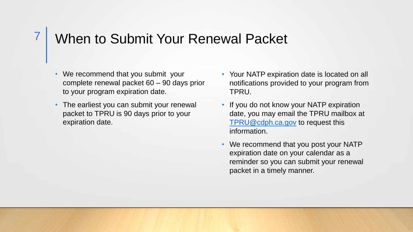#### When to Submit Your Renewal Packet 7

- We recommend that you submit your complete renewal packet 60 – 90 days prior to your program expiration date.
- The earliest you can submit your renewal packet to TPRU is 90 days prior to your expiration date.
- Your NATP expiration date is located on all notifications provided to your program from TPRU.
- If you do not know your NATP expiration date, you may email the TPRU mailbox at [TPRU@cdph.ca.gov](mailto:TPRU@cdph.ca.gov) to request this information.
- We recommend that you post your NATP expiration date on your calendar as a reminder so you can submit your renewal packet in a timely manner.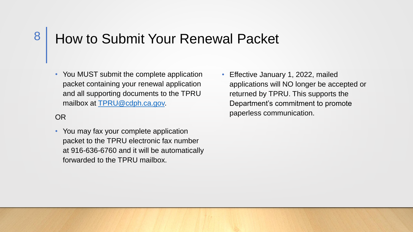### How to Submit Your Renewal Packet

• You MUST submit the complete application packet containing your renewal application and all supporting documents to the TPRU mailbox at [TPRU@cdph.ca.gov.](mailto:TPRU@cdph.ca.gov)

#### OR

8

- You may fax your complete application packet to the TPRU electronic fax number at 916-636-6760 and it will be automatically forwarded to the TPRU mailbox.
- Effective January 1, 2022, mailed applications will NO longer be accepted or returned by TPRU. This supports the Department's commitment to promote paperless communication.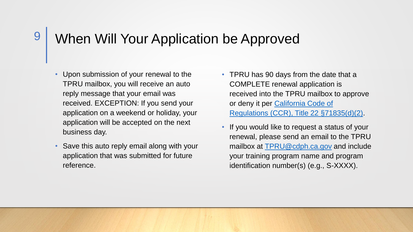### When Will Your Application be Approved

- Upon submission of your renewal to the TPRU mailbox, you will receive an auto reply message that your email was received. EXCEPTION: If you send your application on a weekend or holiday, your application will be accepted on the next business day.
- Save this auto reply email along with your application that was submitted for future reference.
- TPRU has 90 days from the date that a COMPLETE renewal application is received into the TPRU mailbox to approve or deny it per California Code of [Regulations \(CCR\), Title 22 §71835\(d\)\(2\).](https://govt.westlaw.com/calregs/Document/IA472F8F0CF1411E2BBC7856865668A6E?viewType=FullText&originationContext=documenttoc&transitionType=CategoryPageItem&contextData=(sc.Default)&bhcp=1)
- If you would like to request a status of your renewal, please send an email to the TPRU mailbox at [TPRU@cdph.ca.gov](mailto:TPRU@cdph.ca.gov) and include your training program name and program identification number(s) (e.g., S-XXXX).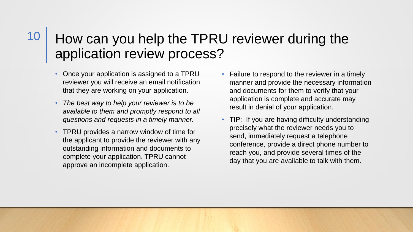#### How can you help the TPRU reviewer during the application review process? 10

- Once your application is assigned to a TPRU reviewer you will receive an email notification that they are working on your application.
- *The best way to help your reviewer is to be available to them and promptly respond to all questions and requests in a timely manner.*
- TPRU provides a narrow window of time for the applicant to provide the reviewer with any outstanding information and documents to complete your application. TPRU cannot approve an incomplete application.
- Failure to respond to the reviewer in a timely manner and provide the necessary information and documents for them to verify that your application is complete and accurate may result in denial of your application.
- TIP: If you are having difficulty understanding precisely what the reviewer needs you to send, immediately request a telephone conference, provide a direct phone number to reach you, and provide several times of the day that you are available to talk with them.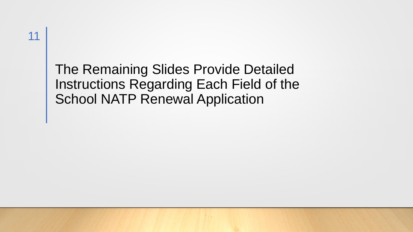### The Remaining Slides Provide Detailed Instructions Regarding Each Field of the School NATP Renewal Application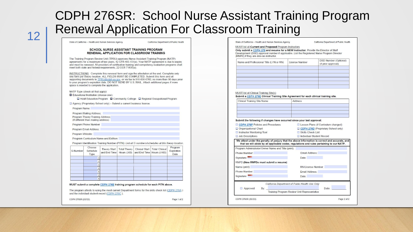### CDPH 276SR: School Nurse Assistant Training Program 12 Renewal Application For Classroom Training

#### **SCHOOL NURSE ASSISTANT TRAINING PROGRAM** RENEWAL APPLICATION FOR CLASSROOM TRAINING

The Training Program Review Unit (TPRU) approves Nurse Assistant Training Program (NATP) agreements for a maximum of two years, 42 CFR 483.151(e). Your NATP agreement is due to expire and must be renewed. All providers of certification training and competency evaluation programs shall meet both state and federal requirements 22 CCR 71835(a)

INSTRUCTIONS: Complete this renewal form and sign the attestation at the end. Complete only one form per theory location. ALL FIELDS MUST BE COMPLETED. Submit this form and all supporting documents to TPRU@cdph.ca.gov, or via fax to 916-636-6760, no more than 90 days prior to your program's expiration date. DO NOT SEND BY U.S. MAIL. Attach additional pages if more space is needed to complete the application.

NATP Type (check all that apply):

Educational Institution (choose one):

□ Adult Education Program □ Community College □ Regional Occupational Program

Agency (Proprietary School only) - Submit a current business license.

Program Name:

Program Mailing Address: Program Theory Training Address (If different than mailing address)

Program Phone Number

Program Email Address:

Program Website:

Program Curriculum Name and Edition:

Program Identification Training Number (PITN); List all S numbers/schedules at this theory location.

| S-Number | Choose<br>Schedule<br>Type | <b>Theory Start</b><br>and End Time Hours $(260)$ | <b>Total Theory</b> | and End Time Hours (≥100) | Clinical Start   Total Clinical | Program<br>Expiration<br>Date |
|----------|----------------------------|---------------------------------------------------|---------------------|---------------------------|---------------------------------|-------------------------------|
|          |                            |                                                   |                     |                           |                                 |                               |
|          |                            |                                                   |                     |                           |                                 |                               |
|          |                            |                                                   |                     |                           |                                 |                               |
|          |                            |                                                   |                     |                           |                                 |                               |
|          |                            |                                                   |                     |                           |                                 |                               |
|          |                            |                                                   |                     |                           |                                 |                               |
|          |                            |                                                   |                     |                           |                                 |                               |

#### MUST submit a complete CDPH 276B training program schedule for each PITN above.

The program attests to using the most current Department forms for the skills check list (CDPH 276A) and the individual student record (CDPH 276C)

CDPH 276SR (02/22)

Page 1 of 2

California Department of Public Health

MUST list all Current and Proposed Program Instructors

Only submit a CDPH 279 and resume for a NEW Instructor. Provide the Director of Staff Development (DSD) approval number if applicable. List the Registered Nurse Program Director (RNPD) if they are also an instructor.

| Name and Professional Title (LVN or RN) | <b>License Number</b> | <b>DSD Number (Optional)</b><br>(if prior approval) |
|-----------------------------------------|-----------------------|-----------------------------------------------------|
|                                         |                       |                                                     |
|                                         |                       |                                                     |
|                                         |                       |                                                     |
|                                         |                       |                                                     |
|                                         |                       |                                                     |

#### **MUST** list all Clinical Training Site(s)

Submit a CDPH 276E Clinical Training Site Agreement for each clinical training site.

| <b>Clinical Training Site Name</b> | Address |
|------------------------------------|---------|
|                                    |         |
|                                    |         |
|                                    |         |
|                                    |         |

#### Submit the following if changes have occurred since your last approval:

| CDPH 276P Policies and Procedures |  |
|-----------------------------------|--|
| Organizational Chart              |  |
| Instructor Monitoring Tool        |  |
| Job Descriptions                  |  |

Lesson Plans (if Curriculum changed) CDPH 276D (Proprietary School only) Skills Check List Individual Student Record

#### We attest under the penalty of perjury that the above information is correct and accurate, and that we will abide by all applicable codes, regulations and rules pertaining to our NATP.

|                                       | California Department of Public Health Use Only |
|---------------------------------------|-------------------------------------------------|
| Signature:                            | Date:                                           |
| Phone Number:                         | Email Address:                                  |
| RN License Number<br>Name (print):    |                                                 |
| RNPD (New RNPDs must submit a resume) |                                                 |
| Signature:                            | Date:                                           |
| Phone Number                          | Fmail Address:                                  |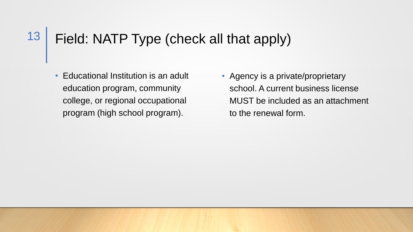#### Field: NATP Type (check all that apply) 13

• Educational Institution is an adult education program, community college, or regional occupational program (high school program).

• Agency is a private/proprietary school. A current business license MUST be included as an attachment to the renewal form.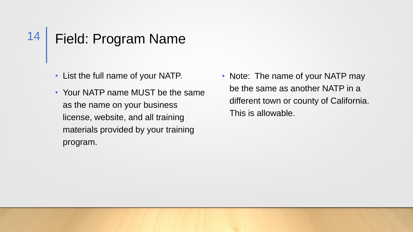#### Field: Program Name 14

- List the full name of your NATP.
- Your NATP name MUST be the same as the name on your business license, website, and all training materials provided by your training program.
- Note: The name of your NATP may be the same as another NATP in a different town or county of California. This is allowable.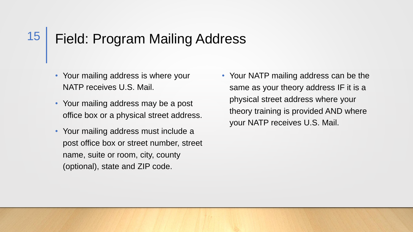#### Field: Program Mailing Address 15

- Your mailing address is where your NATP receives U.S. Mail.
- Your mailing address may be a post office box or a physical street address.
- Your mailing address must include a post office box or street number, street name, suite or room, city, county (optional), state and ZIP code.
- Your NATP mailing address can be the same as your theory address IF it is a physical street address where your theory training is provided AND where your NATP receives U.S. Mail.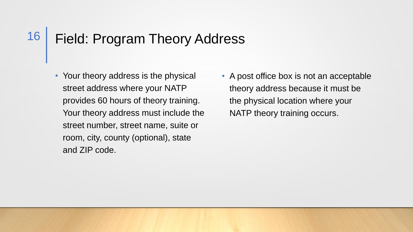#### Field: Program Theory Address 16

- Your theory address is the physical street address where your NATP provides 60 hours of theory training. Your theory address must include the street number, street name, suite or room, city, county (optional), state and ZIP code.
- A post office box is not an acceptable theory address because it must be the physical location where your NATP theory training occurs.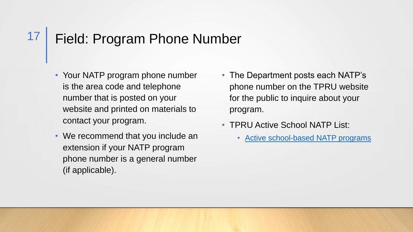#### Field: Program Phone Number 17

- Your NATP program phone number is the area code and telephone number that is posted on your website and printed on materials to contact your program.
- We recommend that you include an extension if your NATP program phone number is a general number (if applicable).
- The Department posts each NATP's phone number on the TPRU website for the public to inquire about your program.
- **TPRU Active School NATP List:** 
	- [Active school-based NATP programs](https://www.cdph.ca.gov/Programs/CHCQ/LCP/Pages/Certified-Nurse-Assistant-Training-Programs.aspx)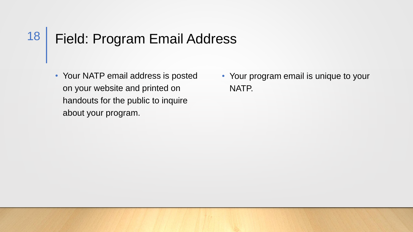#### Field: Program Email Address 18

- Your NATP email address is posted on your website and printed on handouts for the public to inquire about your program.
- Your program email is unique to your NATP.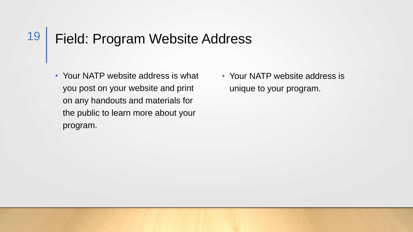#### Field: Program Website Address 19

- Your NATP website address is what you post on your website and print on any handouts and materials for the public to learn more about your program.
- Your NATP website address is unique to your program.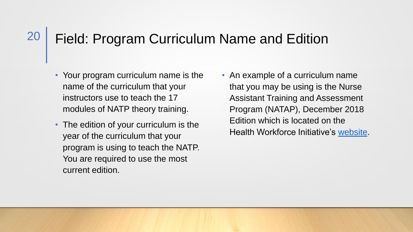#### Field: Program Curriculum Name and Edition 20

- Your program curriculum name is the name of the curriculum that your instructors use to teach the 17 modules of NATP theory training.
- The edition of your curriculum is the year of the curriculum that your program is using to teach the NATP. You are required to use the most current edition.
- An example of a curriculum name that you may be using is the Nurse Assistant Training and Assessment Program (NATAP), December 2018 Edition which is located on the Health Workforce Initiative's [website](https://ca-hwi.org/curriculum/access-curriculum/).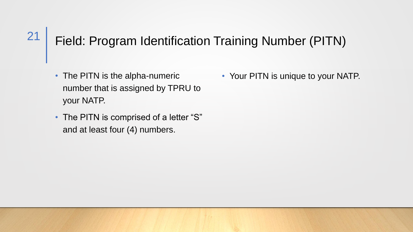## Field: Program Identification Training Number (PITN)

• The PITN is the alpha-numeric number that is assigned by TPRU to your NATP.

21

• The PITN is comprised of a letter "S" and at least four (4) numbers.

• Your PITN is unique to your NATP.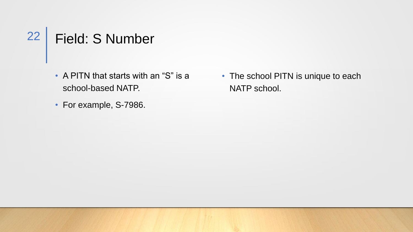22 | Field: S Number

- A PITN that starts with an "S" is a school-based NATP.
- For example, S-7986.

• The school PITN is unique to each NATP school.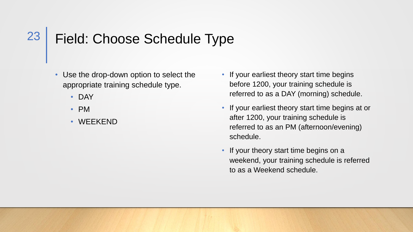#### Field: Choose Schedule Type 23

- Use the drop-down option to select the appropriate training schedule type.
	- DAY
	- PM
	- WEEKEND
- If your earliest theory start time begins before 1200, your training schedule is referred to as a DAY (morning) schedule.
- If your earliest theory start time begins at or after 1200, your training schedule is referred to as an PM (afternoon/evening) schedule.
- If your theory start time begins on a weekend, your training schedule is referred to as a Weekend schedule.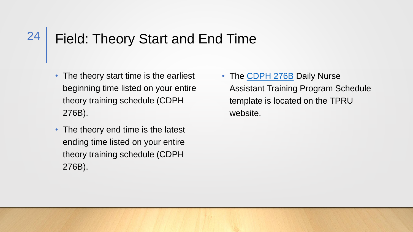#### Field: Theory Start and End Time 24

- The theory start time is the earliest beginning time listed on your entire theory training schedule (CDPH 276B).
- The theory end time is the latest ending time listed on your entire theory training schedule (CDPH 276B).

• The [CDPH 276B](https://www.cdph.ca.gov/CDPH%20Document%20Library/ControlledForms/cdph276b.pdf) Daily Nurse Assistant Training Program Schedule template is located on the TPRU website.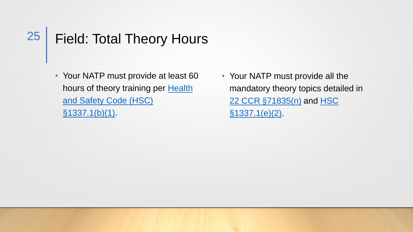#### Field: Total Theory Hours 25

- Your NATP must provide at least 60 [hours of theory training per](https://leginfo.legislature.ca.gov/faces/codes_displaySection.xhtml?sectionNum=1337.1.&nodeTreePath=4.3.16&lawCode=HSC) Health and Safety Code (HSC)  $$1337.1(b)(1)$
- Your NATP must provide all the mandatory theory topics detailed in 22 CCR §[71835\(n\)](https://govt.westlaw.com/calregs/Document/IA472F8F0CF1411E2BBC7856865668A6E?contextData=%28sc.Default%29&transitionType=Default) and HSC [§1337.1\(e\)\(2\).](https://leginfo.legislature.ca.gov/faces/codes_displaySection.xhtml?sectionNum=1337.1.&nodeTreePath=4.3.16&lawCode=HSC)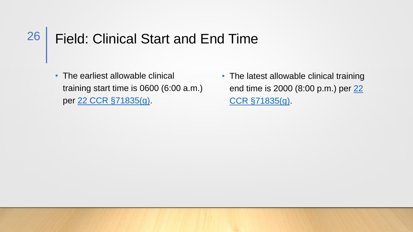#### Field: Clinical Start and End Time 26

- The earliest allowable clinical training start time is 0600 (6:00 a.m.) per [22 CCR §71835\(g\).](https://govt.westlaw.com/calregs/Document/IA472F8F0CF1411E2BBC7856865668A6E?viewType=FullText&originationContext=documenttoc&transitionType=CategoryPageItem&contextData=(sc.Default)&bhcp=1)
- The latest allowable clinical training [end time is 2000 \(8:00 p.m.\) per 22](https://govt.westlaw.com/calregs/Document/IA472F8F0CF1411E2BBC7856865668A6E?viewType=FullText&originationContext=documenttoc&transitionType=CategoryPageItem&contextData=(sc.Default)&bhcp=1) CCR §71835(g).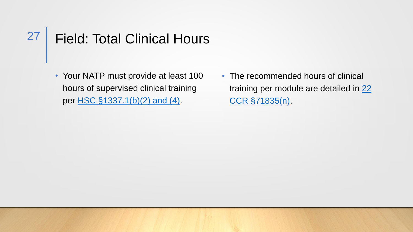#### Field: Total Clinical Hours 27

- Your NATP must provide at least 100 hours of supervised clinical training per [HSC §1337.1\(b\)\(2\) and \(4\)](https://leginfo.legislature.ca.gov/faces/codes_displaySection.xhtml?sectionNum=1337.1.&nodeTreePath=4.3.16&lawCode=HSC).
- The recommended hours of clinical [training per module are detailed in 22](https://govt.westlaw.com/calregs/Document/IA472F8F0CF1411E2BBC7856865668A6E?viewType=FullText&originationContext=documenttoc&transitionType=CategoryPageItem&contextData=(sc.Default)&bhcp=1)  CCR §71835(n).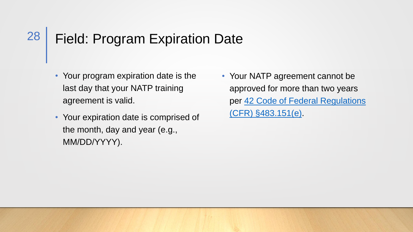#### Field: Program Expiration Date 28

- Your program expiration date is the last day that your NATP training agreement is valid.
- Your expiration date is comprised of the month, day and year (e.g., MM/DD/YYYY).
- Your NATP agreement cannot be approved for more than two years [per 42 Code of Federal Regulations](https://www.ecfr.gov/current/title-42/chapter-IV/subchapter-G/part-483/subpart-D/section-483.151)  (CFR) §483.151(e).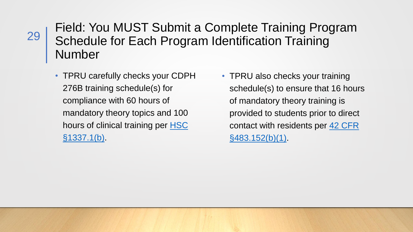### Field: You MUST Submit a Complete Training Program Schedule for Each Program Identification Training Number

• TPRU carefully checks your CDPH 276B training schedule(s) for compliance with 60 hours of mandatory theory topics and 100 [hours of clinical training per HSC](https://leginfo.legislature.ca.gov/faces/codes_displaySection.xhtml?sectionNum=1337.1.&nodeTreePath=4.3.16&lawCode=HSC) §1337.1(b).

• TPRU also checks your training schedule(s) to ensure that 16 hours of mandatory theory training is provided to students prior to direct [contact with residents per](https://www.ecfr.gov/current/title-42/chapter-IV/subchapter-G/part-483/subpart-D/section-483.152) 42 CFR §483.152(b)(1).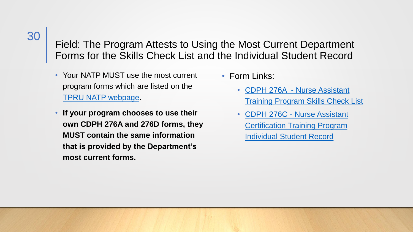### Field: The Program Attests to Using the Most Current Department Forms for the Skills Check List and the Individual Student Record

- Your NATP MUST use the most current program forms which are listed on the [TPRU NATP webpage.](https://www.cdph.ca.gov/Programs/CHCQ/LCP/Pages/Nurse-Assistant-Training-Program-Applicants.aspx)
- **If your program chooses to use their own CDPH 276A and 276D forms, they MUST contain the same information that is provided by the Department's most current forms.**
- Form Links:
	- CDPH 276A Nurse Assistant [Training Program Skills Check List](https://www.cdph.ca.gov/CDPH%20Document%20Library/ControlledForms/cdph276a.pdf)
	- CDPH 276C Nurse Assistant [Certification Training Program](https://www.cdph.ca.gov/CDPH%20Document%20Library/ControlledForms/cdph276c.pdf)  Individual Student Record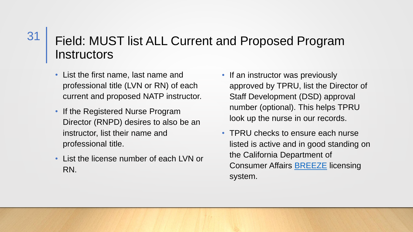### Field: MUST list ALL Current and Proposed Program **Instructors**

• List the first name, last name and professional title (LVN or RN) of each current and proposed NATP instructor.

31

- If the Registered Nurse Program Director (RNPD) desires to also be an instructor, list their name and professional title.
- List the license number of each LVN or RN.
- If an instructor was previously approved by TPRU, list the Director of Staff Development (DSD) approval number (optional). This helps TPRU look up the nurse in our records.
- TPRU checks to ensure each nurse listed is active and in good standing on the California Department of **Consumer Affairs [BREEZE](https://www.breeze.ca.gov/datamart/mainMenu.do;jsessionid=fmEYvgMcaNJNWowM0YU2VpE18KM2XQaOCqxWH6Q9.vo-16-w9vnz) licensing** system.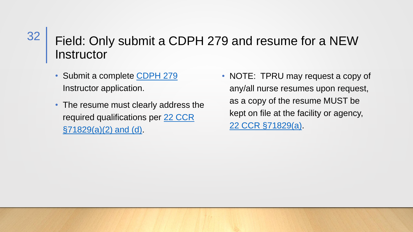#### Field: Only submit a CDPH 279 and resume for a NEW Instructor 32

- Submit a complete CDPH 279 Instructor application.
- The resume must clearly address the [required qualifications per 22 CCR](https://govt.westlaw.com/calregs/Document/I49D46510D4BC11DE8879F88E8B0DAAAE?viewType=FullText&originationContext=documenttoc&transitionType=CategoryPageItem&contextData=(sc.Default)&bhcp=1) §71829(a)(2) and (d).
- NOTE: TPRU may request a copy of any/all nurse resumes upon request, as a copy of the resume MUST be kept on file at the facility or agency, [22 CCR §71829\(a\).](https://govt.westlaw.com/calregs/Document/I49D46510D4BC11DE8879F88E8B0DAAAE?viewType=FullText&originationContext=documenttoc&transitionType=CategoryPageItem&contextData=(sc.Default)&bhcp=1)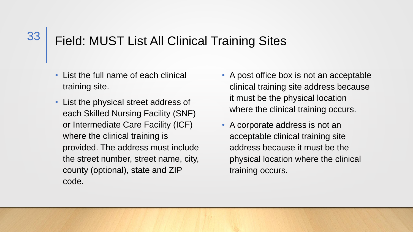#### Field: MUST List All Clinical Training Sites 33

- List the full name of each clinical training site.
- List the physical street address of each Skilled Nursing Facility (SNF) or Intermediate Care Facility (ICF) where the clinical training is provided. The address must include the street number, street name, city, county (optional), state and ZIP code.
- A post office box is not an acceptable clinical training site address because it must be the physical location where the clinical training occurs.
- A corporate address is not an acceptable clinical training site address because it must be the physical location where the clinical training occurs.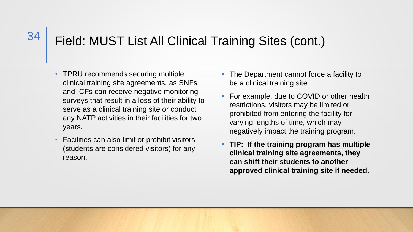### Field: MUST List All Clinical Training Sites (cont.)

- TPRU recommends securing multiple clinical training site agreements, as SNFs and ICFs can receive negative monitoring surveys that result in a loss of their ability to serve as a clinical training site or conduct any NATP activities in their facilities for two years.
- Facilities can also limit or prohibit visitors (students are considered visitors) for any reason.
- The Department cannot force a facility to be a clinical training site.
- For example, due to COVID or other health restrictions, visitors may be limited or prohibited from entering the facility for varying lengths of time, which may negatively impact the training program.
- **TIP: If the training program has multiple clinical training site agreements, they can shift their students to another approved clinical training site if needed.**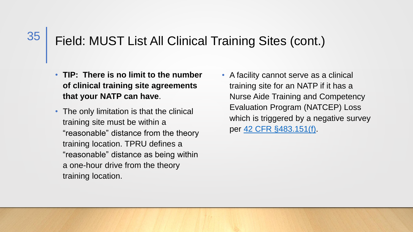### Field: MUST List All Clinical Training Sites (cont.)

- **TIP: There is no limit to the number of clinical training site agreements that your NATP can have**.
- The only limitation is that the clinical training site must be within a "reasonable" distance from the theory training location. TPRU defines a "reasonable" distance as being within a one-hour drive from the theory training location.
- A facility cannot serve as a clinical training site for an NATP if it has a Nurse Aide Training and Competency Evaluation Program (NATCEP) Loss which is triggered by a negative survey per [42 CFR §483.151\(f\).](https://www.ecfr.gov/current/title-42/chapter-IV/subchapter-G/part-483/subpart-D/section-483.151)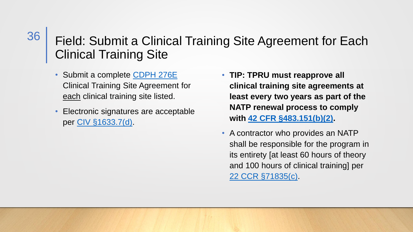### Field: Submit a Clinical Training Site Agreement for Each Clinical Training Site

- Submit a complete CDPH 276E Clinical Training Site Agreement for each clinical training site listed.
- Electronic signatures are acceptable per [CIV §1633.7\(d\).](https://leginfo.legislature.ca.gov/faces/codes_displaySection.xhtml?lawCode=CIV§ionNum=1633.7.)
- **TIP: TPRU must reapprove all clinical training site agreements at least every two years as part of the NATP renewal process to comply with [42 CFR §483.151\(b\)\(2\).](https://www.ecfr.gov/current/title-42/chapter-IV/subchapter-G/part-483/subpart-D/section-483.151)**
- A contractor who provides an NATP shall be responsible for the program in its entirety [at least 60 hours of theory and 100 hours of clinical training] per [22 CCR §71835\(c\)](https://govt.westlaw.com/calregs/Document/IA472F8F0CF1411E2BBC7856865668A6E?viewType=FullText&originationContext=documenttoc&transitionType=CategoryPageItem&contextData=(sc.Default)&bhcp=1).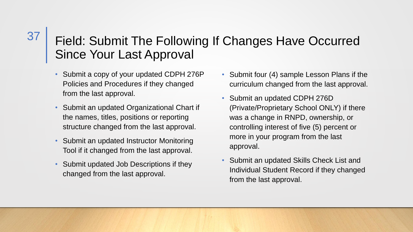### Field: Submit The Following If Changes Have Occurred Since Your Last Approval

- Submit a copy of your updated CDPH 276P Policies and Procedures if they changed from the last approval.
- Submit an updated Organizational Chart if the names, titles, positions or reporting structure changed from the last approval.
- Submit an updated Instructor Monitoring Tool if it changed from the last approval.
- Submit updated Job Descriptions if they changed from the last approval.
- Submit four (4) sample Lesson Plans if the curriculum changed from the last approval.
- Submit an updated CDPH 276D (Private/Proprietary School ONLY) if there was a change in RNPD, ownership, or controlling interest of five (5) percent or more in your program from the last approval.
- Submit an updated Skills Check List and Individual Student Record if they changed from the last approval.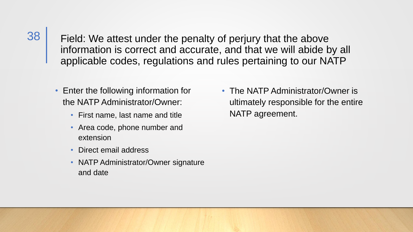Field: We attest under the penalty of perjury that the above information is correct and accurate, and that we will abide by all applicable codes, regulations and rules pertaining to our NATP

- Enter the following information for the NATP Administrator/Owner:
	- First name, last name and title
	- Area code, phone number and extension
	- Direct email address

38

• NATP Administrator/Owner signature and date

• The NATP Administrator/Owner is ultimately responsible for the entire NATP agreement.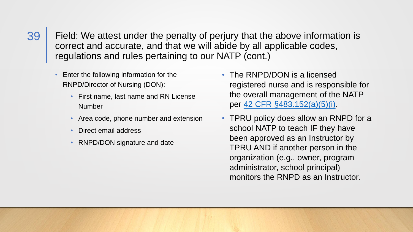Field: We attest under the penalty of perjury that the above information is correct and accurate, and that we will abide by all applicable codes, regulations and rules pertaining to our NATP (cont.)

- Enter the following information for the RNPD/Director of Nursing (DON):
	- First name, last name and RN License Number
	- Area code, phone number and extension
	- Direct email address
	- RNPD/DON signature and date
- The RNPD/DON is a licensed registered nurse and is responsible for the overall management of the NATP per [42 CFR §483.152\(a\)\(5\)\(i\)](https://www.ecfr.gov/current/title-42/chapter-IV/subchapter-G/part-483/subpart-D/section-483.152).
- TPRU policy does allow an RNPD for a school NATP to teach IF they have been approved as an Instructor by TPRU AND if another person in the organization (e.g., owner, program administrator, school principal) monitors the RNPD as an Instructor.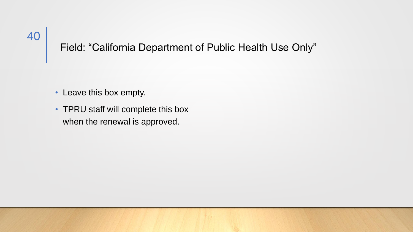### Field: "California Department of Public Health Use Only"

- Leave this box empty.
- TPRU staff will complete this box when the renewal is approved.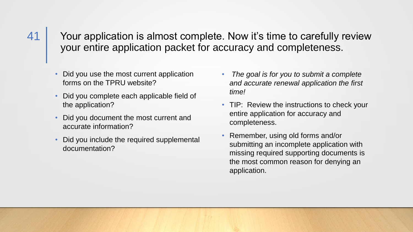Your application is almost complete. Now it's time to carefully review your entire application packet for accuracy and completeness.

- Did you use the most current application forms on the TPRU website?
- Did you complete each applicable field of the application?
- Did you document the most current and accurate information?
- Did you include the required supplemental documentation?
- *The goal is for you to submit a complete and accurate renewal application the first time!*
- TIP: Review the instructions to check your entire application for accuracy and completeness.
- Remember, using old forms and/or submitting an incomplete application with missing required supporting documents is the most common reason for denying an application.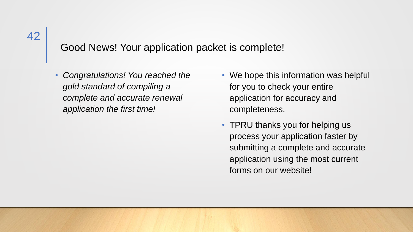### Good News! Your application packet is complete!

• *Congratulations! You reached the gold standard of compiling a complete and accurate renewal application the first time!*

- We hope this information was helpful for you to check your entire application for accuracy and completeness.
- TPRU thanks you for helping us process your application faster by submitting a complete and accurate application using the most current forms on our website!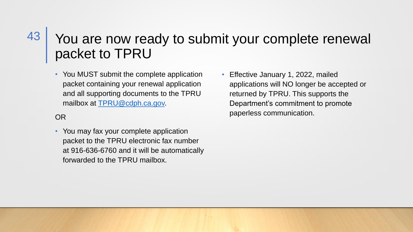### You are now ready to submit your complete renewal packet to TPRU 43

• You MUST submit the complete application packet containing your renewal application and all supporting documents to the TPRU mailbox at [TPRU@cdph.ca.gov.](mailto:TPRU@cdph.ca.gov)

#### OR

- You may fax your complete application packet to the TPRU electronic fax number at 916-636-6760 and it will be automatically forwarded to the TPRU mailbox.
- Effective January 1, 2022, mailed applications will NO longer be accepted or returned by TPRU. This supports the Department's commitment to promote paperless communication.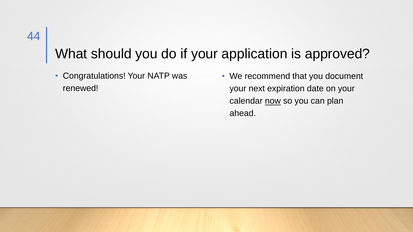### What should you do if your application is approved?

• Congratulations! Your NATP was renewed!

• We recommend that you document your next expiration date on your calendar now so you can plan ahead.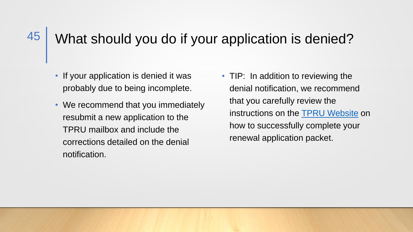### What should you do if your application is denied?

• If your application is denied it was probably due to being incomplete.

45

- We recommend that you immediately resubmit a new application to the TPRU mailbox and include the corrections detailed on the denial notification.
- TIP: In addition to reviewing the denial notification, we recommend that you carefully review the instructions on the [TPRU Website](https://www.cdph.ca.gov/Programs/CHCQ/LCP/Pages/TPRU.aspx) on how to successfully complete your renewal application packet.